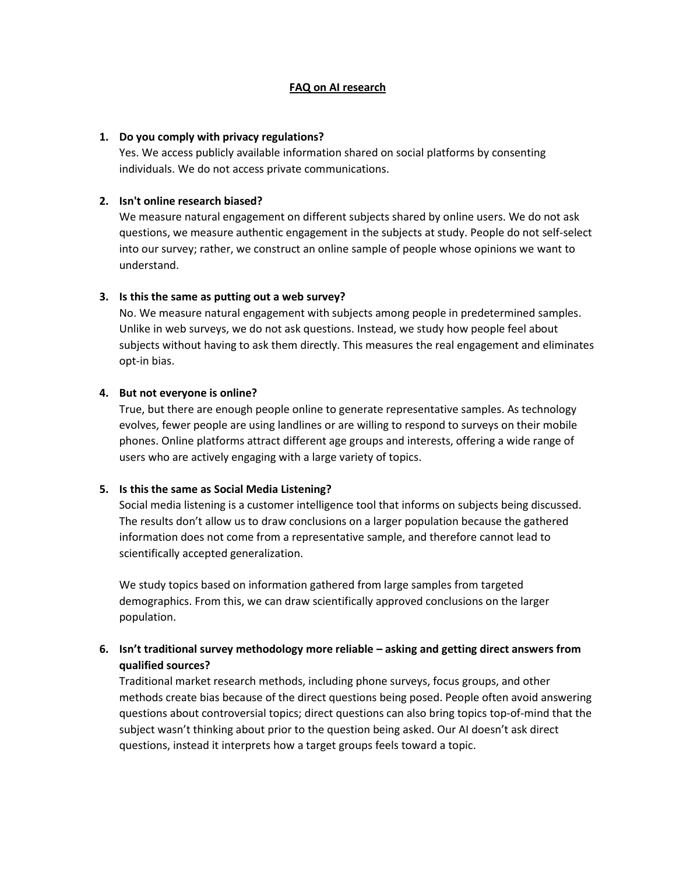#### **FAQ on AI research**

#### **1. Do you comply with privacy regulations?**

Yes. We access publicly available information shared on social platforms by consenting individuals. We do not access private communications.

### **2. Isn't online research biased?**

We measure natural engagement on different subjects shared by online users. We do not ask questions, we measure authentic engagement in the subjects at study. People do not self-select into our survey; rather, we construct an online sample of people whose opinions we want to understand.

#### **3. Is this the same as putting out a web survey?**

No. We measure natural engagement with subjects among people in predetermined samples. Unlike in web surveys, we do not ask questions. Instead, we study how people feel about subjects without having to ask them directly. This measures the real engagement and eliminates opt-in bias.

#### **4. But not everyone is online?**

True, but there are enough people online to generate representative samples. As technology evolves, fewer people are using landlines or are willing to respond to surveys on their mobile phones. Online platforms attract different age groups and interests, offering a wide range of users who are actively engaging with a large variety of topics.

### **5. Is this the same as Social Media Listening?**

Social media listening is a customer intelligence tool that informs on subjects being discussed. The results don't allow us to draw conclusions on a larger population because the gathered information does not come from a representative sample, and therefore cannot lead to scientifically accepted generalization.

We study topics based on information gathered from large samples from targeted demographics. From this, we can draw scientifically approved conclusions on the larger population.

# **6. Isn't traditional survey methodology more reliable – asking and getting direct answers from qualified sources?**

Traditional market research methods, including phone surveys, focus groups, and other methods create bias because of the direct questions being posed. People often avoid answering questions about controversial topics; direct questions can also bring topics top-of-mind that the subject wasn't thinking about prior to the question being asked. Our AI doesn't ask direct questions, instead it interprets how a target groups feels toward a topic.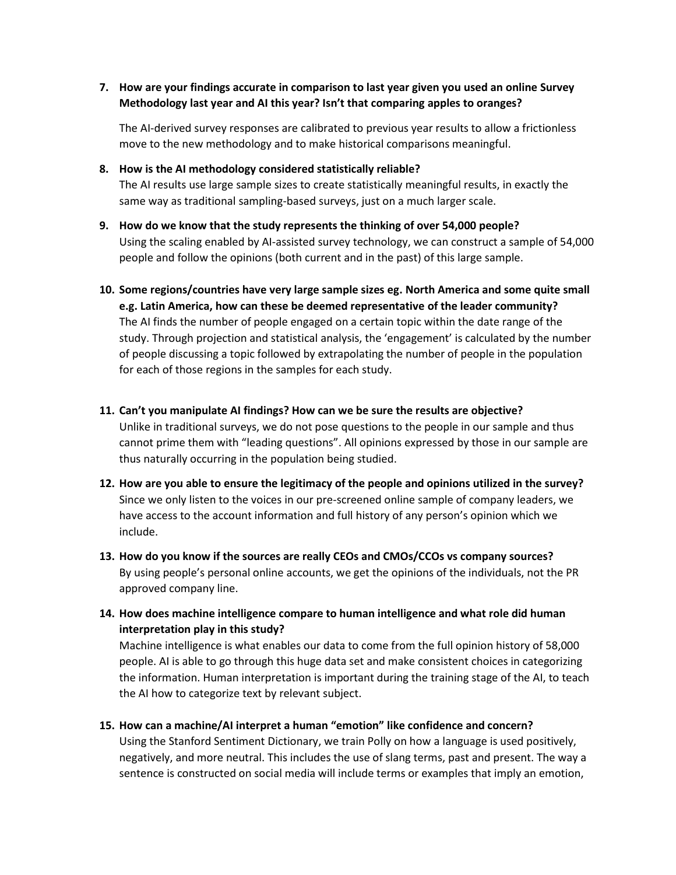# **7. How are your findings accurate in comparison to last year given you used an online Survey Methodology last year and AI this year? Isn't that comparing apples to oranges?**

The AI-derived survey responses are calibrated to previous year results to allow a frictionless move to the new methodology and to make historical comparisons meaningful.

**8. How is the AI methodology considered statistically reliable?**

The AI results use large sample sizes to create statistically meaningful results, in exactly the same way as traditional sampling-based surveys, just on a much larger scale.

- **9. How do we know that the study represents the thinking of over 54,000 people?** Using the scaling enabled by AI-assisted survey technology, we can construct a sample of 54,000 people and follow the opinions (both current and in the past) of this large sample.
- **10. Some regions/countries have very large sample sizes eg. North America and some quite small e.g. Latin America, how can these be deemed representative of the leader community?** The AI finds the number of people engaged on a certain topic within the date range of the study. Through projection and statistical analysis, the 'engagement' is calculated by the number of people discussing a topic followed by extrapolating the number of people in the population for each of those regions in the samples for each study.
- **11. Can't you manipulate AI findings? How can we be sure the results are objective?**

Unlike in traditional surveys, we do not pose questions to the people in our sample and thus cannot prime them with "leading questions". All opinions expressed by those in our sample are thus naturally occurring in the population being studied.

- **12. How are you able to ensure the legitimacy of the people and opinions utilized in the survey?** Since we only listen to the voices in our pre-screened online sample of company leaders, we have access to the account information and full history of any person's opinion which we include.
- **13. How do you know if the sources are really CEOs and CMOs/CCOs vs company sources?**  By using people's personal online accounts, we get the opinions of the individuals, not the PR approved company line.
- **14. How does machine intelligence compare to human intelligence and what role did human interpretation play in this study?**

Machine intelligence is what enables our data to come from the full opinion history of 58,000 people. AI is able to go through this huge data set and make consistent choices in categorizing the information. Human interpretation is important during the training stage of the AI, to teach the AI how to categorize text by relevant subject.

**15. How can a machine/AI interpret a human "emotion" like confidence and concern?**

Using the Stanford Sentiment Dictionary, we train Polly on how a language is used positively, negatively, and more neutral. This includes the use of slang terms, past and present. The way a sentence is constructed on social media will include terms or examples that imply an emotion,